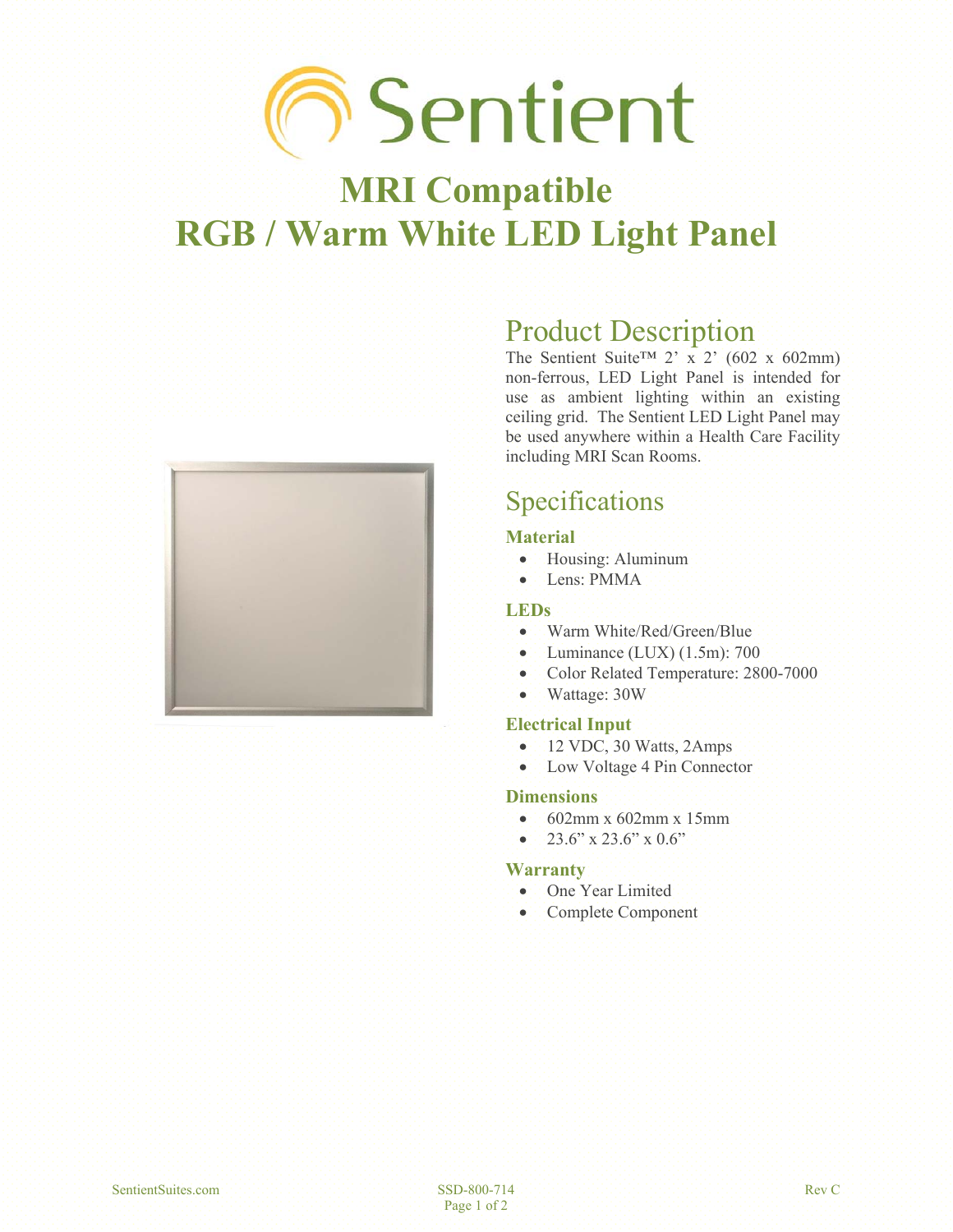# **Sentient**

## **MRI Compatible RGB / Warm White LED Light Panel**



## Product Description

The Sentient Suite<sup>TM</sup> 2' x 2' (602 x 602mm) non-ferrous, LED Light Panel is intended for use as ambient lighting within an existing ceiling grid. The Sentient LED Light Panel may be used anywhere within a Health Care Facility including MRI Scan Rooms.

## Specifications

#### **Material**

- $\bullet$  Housing: Aluminum
- Lens: PMMA

#### **LEDs**

- Warm White/Red/Green/Blue
- $\bullet$  Luminance (LUX) (1.5m): 700
- Color Related Temperature: 2800-7000
- Wattage: 30W

#### **Electrical Input**

- $\bullet$  12 VDC, 30 Watts, 2Amps
- Low Voltage 4 Pin Connector

#### **Dimensions**

- $\cdot$  602mm x 602mm x 15mm
- $\bullet$  23.6" x 23.6" x 0.6"

#### **Warranty**

- One Year Limited
- Complete Component